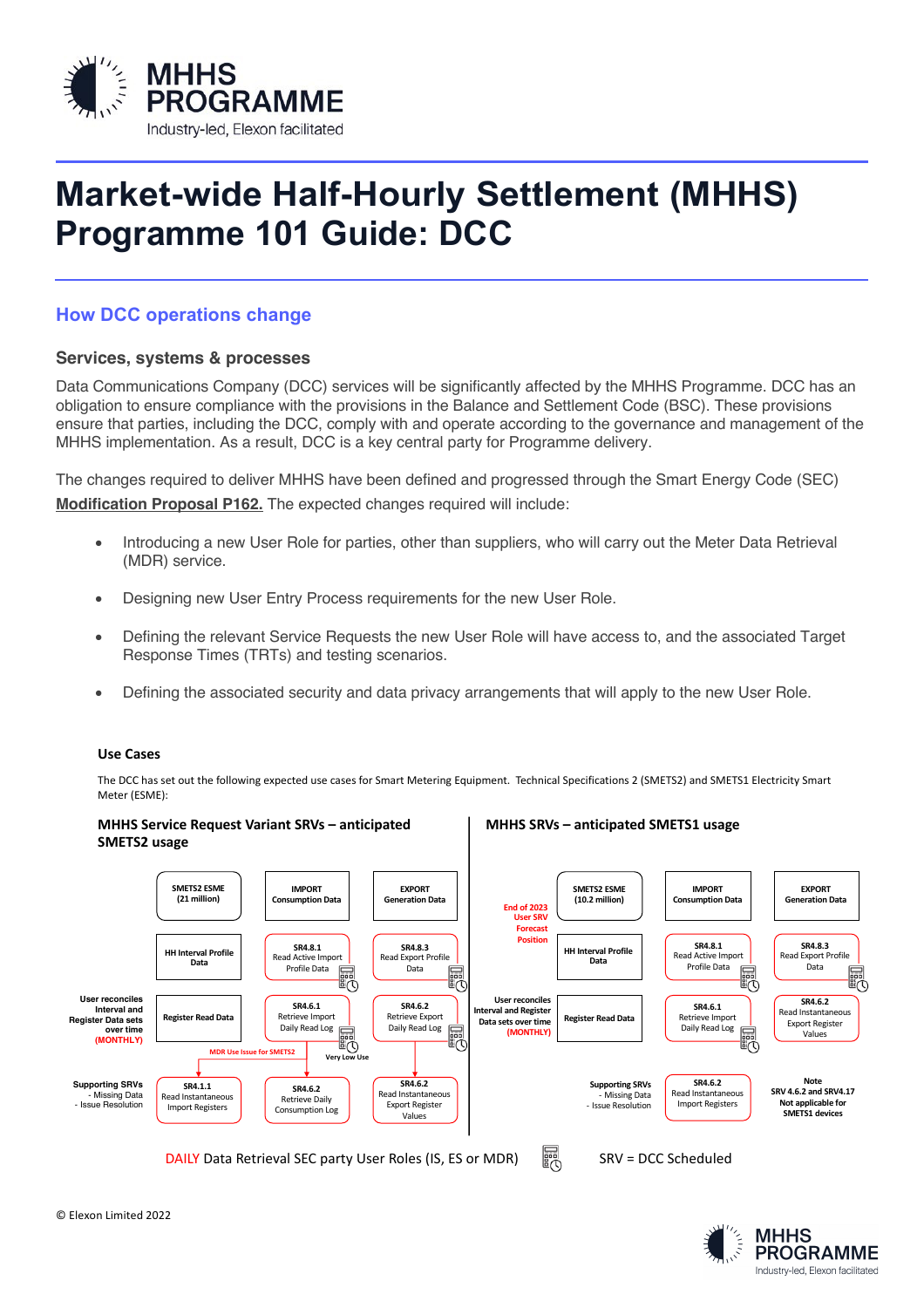

# **Market-wide Half-Hourly Settlement (MHHS) Programme 101 Guide: DCC**

# **How DCC operations change**

## **Services, systems & processes**

Data Communications Company (DCC) services will be significantly affected by the MHHS Programme. DCC has an obligation to ensure compliance with the provisions in the Balance and Settlement Code (BSC). These provisions ensure that parties, including the DCC, comply with and operate according to the governance and management of the MHHS implementation. As a result, DCC is a key central party for Programme delivery.

The changes required to deliver MHHS have been defined and progressed through the Smart Energy Code (SEC) **Modification Proposal P162.** The expected changes required will include:

- Introducing a new User Role for parties, other than suppliers, who will carry out the Meter Data Retrieval (MDR) service.
- Designing new User Entry Process requirements for the new User Role.
- Defining the relevant Service Requests the new User Role will have access to, and the associated Target Response Times (TRTs) and testing scenarios.
- Defining the associated security and data privacy arrangements that will apply to the new User Role.

#### **Use Cases**

The DCC has set out the following expected use cases for Smart Metering Equipment. Technical Specifications 2 (SMETS2) and SMETS1 Electricity Smart Meter (ESME):



**MHHS PROGRAMME** Industry-led, Flexon facilitated